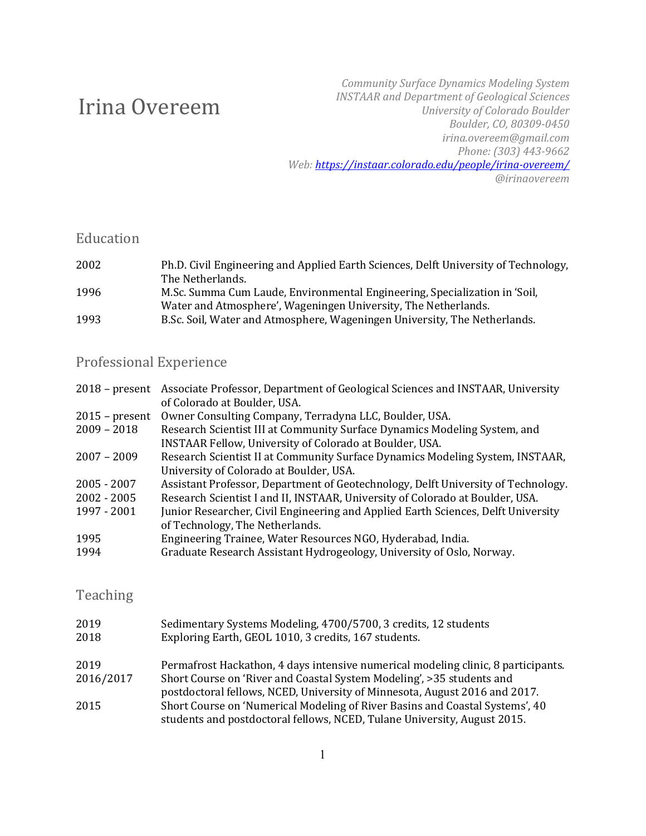# Irina Overeem

*Community Surface Dynamics Modeling System INSTAAR and Department of Geological Sciences University of Colorado Boulder Boulder, CO, 80309-0450 irina.overeem@gmail.com Phone: (303) 443-9662 Web: https://instaar.colorado.edu/people/irina-overeem/ @irinaovereem*

#### Education

| Ph.D. Civil Engineering and Applied Earth Sciences, Delft University of Technology, |
|-------------------------------------------------------------------------------------|
| The Netherlands.                                                                    |
| M.Sc. Summa Cum Laude, Environmental Engineering, Specialization in 'Soil,          |
| Water and Atmosphere', Wageningen University, The Netherlands.                      |
| B.Sc. Soil, Water and Atmosphere, Wageningen University, The Netherlands.           |
|                                                                                     |

### Professional Experience

| Associate Professor, Department of Geological Sciences and INSTAAR, University    |
|-----------------------------------------------------------------------------------|
| of Colorado at Boulder, USA.                                                      |
| Owner Consulting Company, Terradyna LLC, Boulder, USA.                            |
| Research Scientist III at Community Surface Dynamics Modeling System, and         |
| INSTAAR Fellow, University of Colorado at Boulder, USA.                           |
| Research Scientist II at Community Surface Dynamics Modeling System, INSTAAR,     |
| University of Colorado at Boulder, USA.                                           |
| Assistant Professor, Department of Geotechnology, Delft University of Technology. |
| Research Scientist I and II, INSTAAR, University of Colorado at Boulder, USA.     |
| Junior Researcher, Civil Engineering and Applied Earth Sciences, Delft University |
| of Technology, The Netherlands.                                                   |
| Engineering Trainee, Water Resources NGO, Hyderabad, India.                       |
| Graduate Research Assistant Hydrogeology, University of Oslo, Norway.             |
|                                                                                   |

### Teaching

| 2019<br>2018 | Sedimentary Systems Modeling, 4700/5700, 3 credits, 12 students<br>Exploring Earth, GEOL 1010, 3 credits, 167 students.                                  |
|--------------|----------------------------------------------------------------------------------------------------------------------------------------------------------|
| 2019         | Permafrost Hackathon, 4 days intensive numerical modeling clinic, 8 participants.                                                                        |
| 2016/2017    | Short Course on 'River and Coastal System Modeling', >35 students and<br>postdoctoral fellows, NCED, University of Minnesota, August 2016 and 2017.      |
| 2015         | Short Course on 'Numerical Modeling of River Basins and Coastal Systems', 40<br>students and postdoctoral fellows, NCED, Tulane University, August 2015. |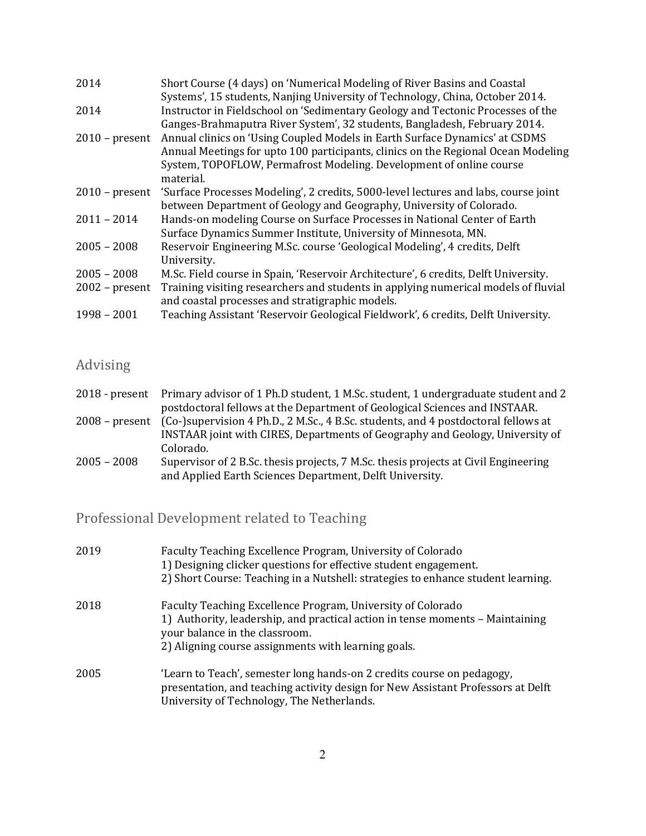| 2014             | Short Course (4 days) on 'Numerical Modeling of River Basins and Coastal            |
|------------------|-------------------------------------------------------------------------------------|
|                  | Systems', 15 students, Nanjing University of Technology, China, October 2014.       |
| 2014             | Instructor in Fieldschool on 'Sedimentary Geology and Tectonic Processes of the     |
|                  | Ganges-Brahmaputra River System', 32 students, Bangladesh, February 2014.           |
| $2010$ – present | Annual clinics on 'Using Coupled Models in Earth Surface Dynamics' at CSDMS         |
|                  | Annual Meetings for upto 100 participants, clinics on the Regional Ocean Modeling   |
|                  | System, TOPOFLOW, Permafrost Modeling. Development of online course                 |
|                  | material.                                                                           |
| $2010$ – present | 'Surface Processes Modeling', 2 credits, 5000-level lectures and labs, course joint |
|                  | between Department of Geology and Geography, University of Colorado.                |
| $2011 - 2014$    | Hands-on modeling Course on Surface Processes in National Center of Earth           |
|                  | Surface Dynamics Summer Institute, University of Minnesota, MN.                     |
| $2005 - 2008$    | Reservoir Engineering M.Sc. course 'Geological Modeling', 4 credits, Delft          |
|                  | University.                                                                         |
| $2005 - 2008$    | M.Sc. Field course in Spain, 'Reservoir Architecture', 6 credits, Delft University. |
| $2002$ – present | Training visiting researchers and students in applying numerical models of fluvial  |
|                  | and coastal processes and stratigraphic models.                                     |
| $1998 - 2001$    | Teaching Assistant 'Reservoir Geological Fieldwork', 6 credits, Delft University.   |

## Advising

|                  | 2018 - present Primary advisor of 1 Ph.D student, 1 M.Sc. student, 1 undergraduate student and 2 |
|------------------|--------------------------------------------------------------------------------------------------|
|                  | postdoctoral fellows at the Department of Geological Sciences and INSTAAR.                       |
| $2008$ – present | (Co-)supervision 4 Ph.D., 2 M.Sc., 4 B.Sc. students, and 4 postdoctoral fellows at               |
|                  | INSTAAR joint with CIRES, Departments of Geography and Geology, University of                    |
|                  | Colorado.                                                                                        |
| $2005 - 2008$    | Supervisor of 2 B.Sc. thesis projects, 7 M.Sc. thesis projects at Civil Engineering              |
|                  | and Applied Earth Sciences Department, Delft University.                                         |

## Professional Development related to Teaching

| 2019 | Faculty Teaching Excellence Program, University of Colorado<br>1) Designing clicker questions for effective student engagement.<br>2) Short Course: Teaching in a Nutshell: strategies to enhance student learning.                   |
|------|---------------------------------------------------------------------------------------------------------------------------------------------------------------------------------------------------------------------------------------|
| 2018 | Faculty Teaching Excellence Program, University of Colorado<br>1) Authority, leadership, and practical action in tense moments – Maintaining<br>your balance in the classroom.<br>2) Aligning course assignments with learning goals. |
| 2005 | 'Learn to Teach', semester long hands-on 2 credits course on pedagogy,<br>presentation, and teaching activity design for New Assistant Professors at Delft<br>University of Technology, The Netherlands.                              |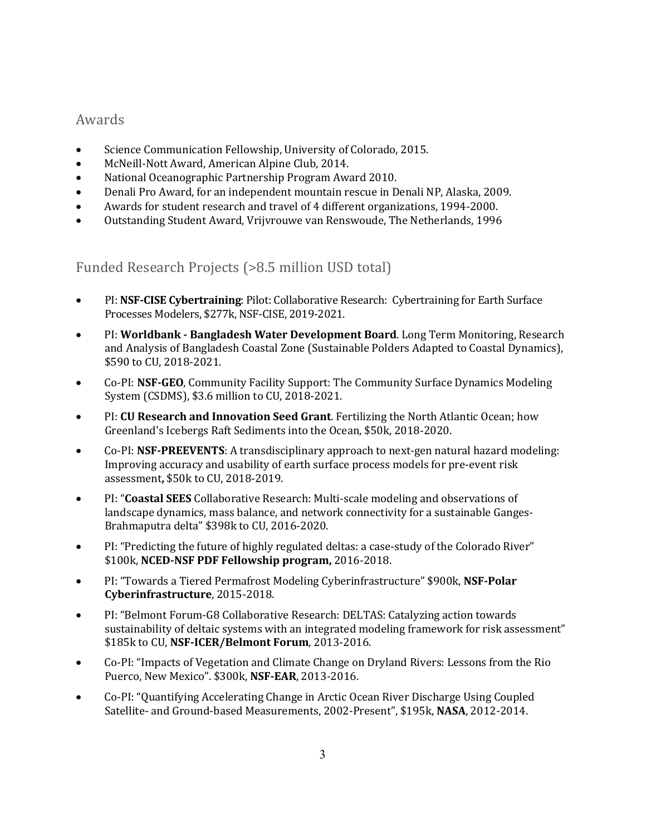#### Awards

- Science Communication Fellowship, University of Colorado, 2015.
- McNeill-Nott Award, American Alpine Club, 2014.
- National Oceanographic Partnership Program Award 2010.
- Denali Pro Award, for an independent mountain rescue in Denali NP, Alaska, 2009.
- Awards for student research and travel of 4 different organizations, 1994-2000.
- Outstanding Student Award, Vrijvrouwe van Renswoude, The Netherlands, 1996

Funded Research Projects (>8.5 million USD total)

- PI: **NSF-CISE Cybertraining**: Pilot: Collaborative Research: Cybertraining for Earth Surface Processes Modelers, \$277k, NSF-CISE, 2019-2021.
- PI: Worldbank Bangladesh Water Development Board. Long Term Monitoring, Research and Analysis of Bangladesh Coastal Zone (Sustainable Polders Adapted to Coastal Dynamics), \$590 to CU, 2018-2021.
- Co-PI: NSF-GEO, Community Facility Support: The Community Surface Dynamics Modeling System (CSDMS), \$3.6 million to CU, 2018-2021.
- PI: **CU Research and Innovation Seed Grant**. Fertilizing the North Atlantic Ocean; how Greenland's Icebergs Raft Sediments into the Ocean, \$50k, 2018-2020.
- Co-PI: **NSF-PREEVENTS**: A transdisciplinary approach to next-gen natural hazard modeling: Improving accuracy and usability of earth surface process models for pre-event risk assessment, \$50k to CU, 2018-2019.
- PI: "Coastal SEES Collaborative Research: Multi-scale modeling and observations of landscape dynamics, mass balance, and network connectivity for a sustainable Ganges-Brahmaputra delta" \$398k to CU, 2016-2020.
- PI: "Predicting the future of highly regulated deltas: a case-study of the Colorado River" \$100k, NCED-NSF PDF Fellowship program, 2016-2018.
- PI: "Towards a Tiered Permafrost Modeling Cyberinfrastructure" \$900k, NSF-Polar **Cyberinfrastructure**, 2015-2018.
- PI: "Belmont Forum-G8 Collaborative Research: DELTAS: Catalyzing action towards sustainability of deltaic systems with an integrated modeling framework for risk assessment" \$185k to CU, NSF-ICER/Belmont Forum, 2013-2016.
- Co-PI: "Impacts of Vegetation and Climate Change on Dryland Rivers: Lessons from the Rio Puerco, New Mexico". \$300k, **NSF-EAR**, 2013-2016.
- Co-PI: "Quantifying Accelerating Change in Arctic Ocean River Discharge Using Coupled Satellite- and Ground-based Measurements, 2002-Present", \$195k, NASA, 2012-2014.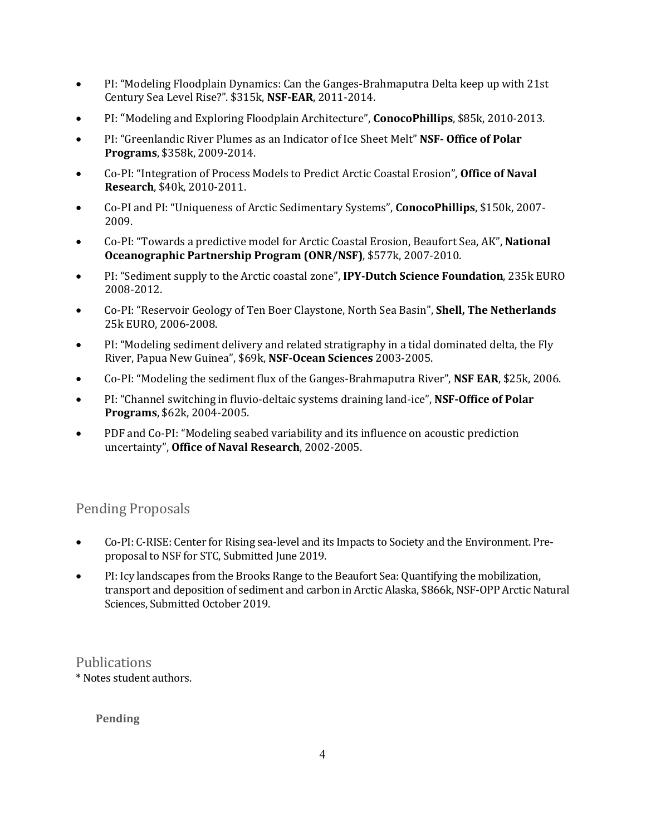- PI: "Modeling Floodplain Dynamics: Can the Ganges-Brahmaputra Delta keep up with 21st Century Sea Level Rise?". \$315k, **NSF-EAR**, 2011-2014.
- PI: "Modeling and Exploring Floodplain Architecture", **ConocoPhillips**, \$85k, 2010-2013.
- PI: "Greenlandic River Plumes as an Indicator of Ice Sheet Melt" **NSF- Office of Polar Programs**, \$358k, 2009-2014.
- Co-PI: "Integration of Process Models to Predict Arctic Coastal Erosion", Office of Naval **Research**, \$40k, 2010-2011.
- Co-PI and PI: "Uniqueness of Arctic Sedimentary Systems", **ConocoPhillips**, \$150k, 2007- 2009.
- Co-PI: "Towards a predictive model for Arctic Coastal Erosion, Beaufort Sea, AK", **National Oceanographic Partnership Program (ONR/NSF), \$577k, 2007-2010.**
- PI: "Sediment supply to the Arctic coastal zone", **IPY-Dutch Science Foundation**, 235k EURO 2008-2012.
- Co-PI: "Reservoir Geology of Ten Boer Claystone, North Sea Basin", **Shell, The Netherlands** 25k EURO, 2006-2008.
- PI: "Modeling sediment delivery and related stratigraphy in a tidal dominated delta, the Fly River, Papua New Guinea", \$69k, **NSF-Ocean Sciences** 2003-2005.
- Co-PI: "Modeling the sediment flux of the Ganges-Brahmaputra River", NSF EAR, \$25k, 2006.
- PI: "Channel switching in fluvio-deltaic systems draining land-ice", **NSF-Office of Polar Programs**, \$62k, 2004-2005.
- PDF and Co-PI: "Modeling seabed variability and its influence on acoustic prediction uncertainty", Office of Naval Research, 2002-2005.

#### Pending Proposals

- Co-PI: C-RISE: Center for Rising sea-level and its Impacts to Society and the Environment. Preproposal to NSF for STC, Submitted June 2019.
- PI: Icy landscapes from the Brooks Range to the Beaufort Sea: Quantifying the mobilization, transport and deposition of sediment and carbon in Arctic Alaska, \$866k, NSF-OPP Arctic Natural Sciences, Submitted October 2019.

#### Publications

\* Notes student authors.

#### **Pending**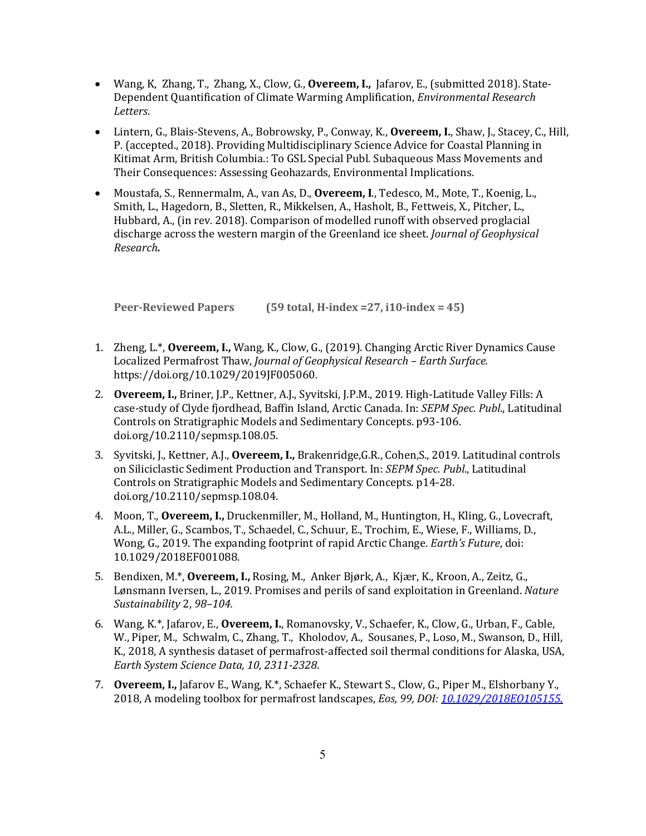- Wang, K, Zhang, T., Zhang, X., Clow, G., **Overeem, I.,** Jafarov, E., (submitted 2018). State-Dependent Quantification of Climate Warming Amplification, *Environmental Research Letters*.
- Lintern, G., Blais-Stevens, A., Bobrowsky, P., Conway, K., **Overeem, I.**, Shaw, J., Stacey, C., Hill, P. (accepted., 2018). Providing Multidisciplinary Science Advice for Coastal Planning in Kitimat Arm, British Columbia.: To GSL Special Publ. Subaqueous Mass Movements and Their Consequences: Assessing Geohazards, Environmental Implications.
- Moustafa, S., Rennermalm, A., van As, D., **Overeem, I.**, Tedesco, M., Mote, T., Koenig, L., Smith, L., Hagedorn, B., Sletten, R., Mikkelsen, A., Hasholt, B., Fettweis, X., Pitcher, L., Hubbard, A., (in rev. 2018). Comparison of modelled runoff with observed proglacial discharge across the western margin of the Greenland ice sheet. *Journal of Geophysical Research.*

**Peer-Reviewed Papers** (59 **total, H-index = 27, i10-index = 45)** 

- 1. Zheng, L.\*, **Overeem, I.,** Wang, K., Clow, G., (2019). Changing Arctic River Dynamics Cause Localized Permafrost Thaw, *Journal of Geophysical Research - Earth Surface.* https://doi.org/10.1029/2019JF005060.
- 2. Overeem, I., Briner, J.P., Kettner, A.J., Syvitski, J.P.M., 2019. High-Latitude Valley Fills: A case-study of Clyde fjordhead, Baffin Island, Arctic Canada. In: *SEPM Spec. Publ.*, Latitudinal Controls on Stratigraphic Models and Sedimentary Concepts. p93-106. doi.org/10.2110/sepmsp.108.05.
- 3. Syvitski, J., Kettner, A.J., **Overeem, I.,** Brakenridge, G.R., Cohen, S., 2019. Latitudinal controls on Siliciclastic Sediment Production and Transport. In: *SEPM Spec. Publ.*, Latitudinal Controls on Stratigraphic Models and Sedimentary Concepts. p14-28. doi.org/10.2110/sepmsp.108.04.
- 4. Moon, T., Overeem, I., Druckenmiller, M., Holland, M., Huntington, H., Kling, G., Lovecraft, A.L., Miller, G., Scambos, T., Schaedel, C., Schuur, E., Trochim, E., Wiese, F., Williams, D., Wong, G., 2019. The expanding footprint of rapid Arctic Change. *Earth's Future*, doi: 10.1029/2018EF001088.
- 5. Bendixen, M.\*, **Overeem, I.,** Rosing, M., Anker Bjørk, A., Kjær, K., Kroon, A., Zeitz, G., Lønsmann Iversen, L., 2019. Promises and perils of sand exploitation in Greenland. Nature *Sustainability* 2, *98–104.*
- 6. Wang, K.\*, Jafarov, E., **Overeem, I.**, Romanovsky, V., Schaefer, K., Clow, G., Urban, F., Cable, W., Piper, M., Schwalm, C., Zhang, T., Kholodov, A., Sousanes, P., Loso, M., Swanson, D., Hill, K., 2018, A synthesis dataset of permafrost-affected soil thermal conditions for Alaska, USA, *Earth System Science Data, 10, 2311-2328*.
- 7. **Overeem, I.,** Jafarov E., Wang, K.\*, Schaefer K., Stewart S., Clow, G., Piper M., Elshorbany Y., 2018, A modeling toolbox for permafrost landscapes, *Eos, 99, DOI: 10.1029/2018EO105155.*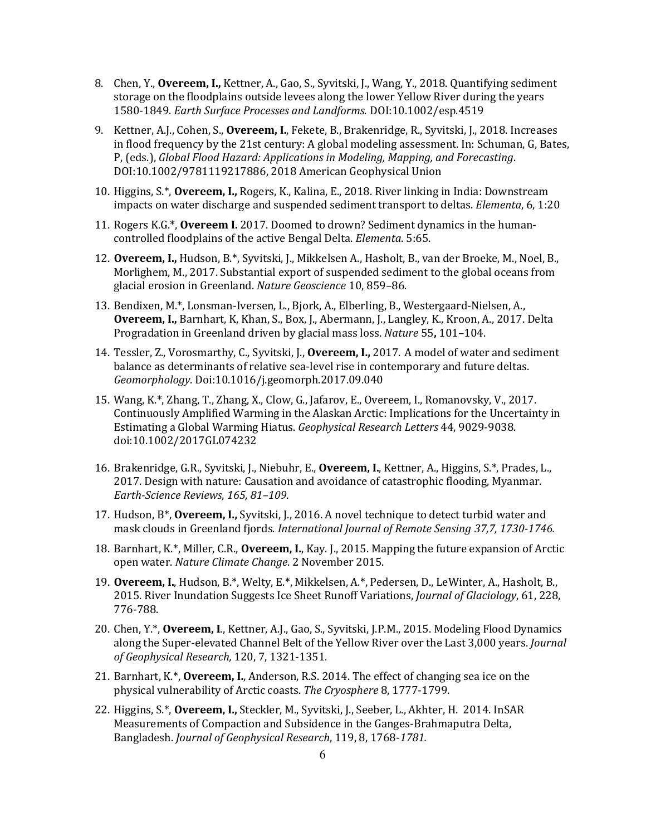- 8. Chen, Y., **Overeem, I.,** Kettner, A., Gao, S., Syvitski, J., Wang, Y., 2018. Quantifying sediment storage on the floodplains outside levees along the lower Yellow River during the years 1580-1849. *Earth Surface Processes and Landforms.* DOI:10.1002/esp.4519
- 9. Kettner, A.J., Cohen, S., **Overeem, I.**, Fekete, B., Brakenridge, R., Syvitski, J., 2018. Increases in flood frequency by the 21st century: A global modeling assessment. In: Schuman, G, Bates, P, (eds.), *Global Flood Hazard: Applications in Modeling, Mapping, and Forecasting.* DOI:10.1002/9781119217886, 2018 American Geophysical Union
- 10. Higgins, S.\*, **Overeem, I.,** Rogers, K., Kalina, E., 2018. River linking in India: Downstream impacts on water discharge and suspended sediment transport to deltas. *Elementa*, 6, 1:20
- **11. Rogers K.G.\*, Overeem I. 2017.** Doomed to drown? Sediment dynamics in the humancontrolled floodplains of the active Bengal Delta. *Elementa*. 5:65.
- 12. **Overeem, I.,** Hudson, B.\*, Syvitski, J., Mikkelsen A., Hasholt, B., van der Broeke, M., Noel, B., Morlighem, M., 2017. Substantial export of suspended sediment to the global oceans from glacial erosion in Greenland. *Nature Geoscience* 10, 859-86.
- 13. Bendixen, M.\*, Lonsman-Iversen, L., Bjork, A., Elberling, B., Westergaard-Nielsen, A., Overeem, I., Barnhart, K, Khan, S., Box, J., Abermann, J., Langley, K., Kroon, A., 2017. Delta Progradation in Greenland driven by glacial mass loss. *Nature* 55, 101–104.
- 14. Tessler, Z., Vorosmarthy, C., Syvitski, J., **Overeem, I.,** 2017. A model of water and sediment balance as determinants of relative sea-level rise in contemporary and future deltas. *Geomorphology*. Doi:10.1016/j.geomorph.2017.09.040
- 15. Wang, K.\*, Zhang, T., Zhang, X., Clow, G., Jafarov, E., Overeem, I., Romanovsky, V., 2017. Continuously Amplified Warming in the Alaskan Arctic: Implications for the Uncertainty in Estimating a Global Warming Hiatus. *Geophysical Research Letters* 44, 9029-9038. doi:10.1002/2017GL074232
- 16. Brakenridge, G.R., Syvitski, J., Niebuhr, E., **Overeem, I.**, Kettner, A., Higgins, S.\*, Prades, L., 2017. Design with nature: Causation and avoidance of catastrophic flooding, Myanmar. *Earth-Science Reviews*, *165, 81–109*.
- 17. Hudson, B<sup>\*</sup>, **Overeem, I.,** Syvitski, J., 2016. A novel technique to detect turbid water and mask clouds in Greenland fjords. *International Journal of Remote Sensing 37,7, 1730-1746.*
- 18. Barnhart, K.\*, Miller, C.R., **Overeem, I.**, Kay. J., 2015. Mapping the future expansion of Arctic open water. *Nature Climate Change*. 2 November 2015.
- 19. **Overeem, I.**, Hudson, B.\*, Welty, E.\*, Mikkelsen, A.\*, Pedersen, D., LeWinter, A., Hasholt, B., 2015. River Inundation Suggests Ice Sheet Runoff Variations, *Journal of Glaciology*, 61, 228, 776-788.
- 20. Chen, Y.\*, **Overeem, I.**, Kettner, A.J., Gao, S., Syvitski, J.P.M., 2015. Modeling Flood Dynamics along the Super-elevated Channel Belt of the Yellow River over the Last 3,000 years. *Journal of Geophysical Research,* 120, 7, 1321-1351*.*
- 21. Barnhart, K.\*, **Overeem, I.**, Anderson, R.S. 2014. The effect of changing sea ice on the physical vulnerability of Arctic coasts. The Cryosphere 8, 1777-1799.
- 22. Higgins, S.\*, **Overeem, I.,** Steckler, M., Syvitski, J., Seeber, L., Akhter, H. 2014. InSAR Measurements of Compaction and Subsidence in the Ganges-Brahmaputra Delta, Bangladesh. *Journal of Geophysical Research*, 119, 8, 1768-1781.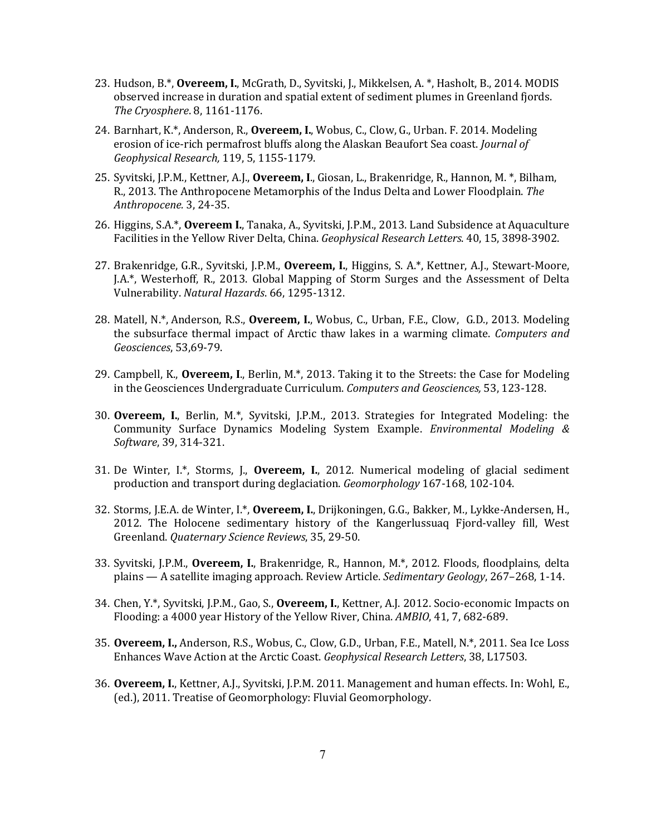- 23. Hudson, B.\*, **Overeem, I.**, McGrath, D., Syvitski, J., Mikkelsen, A. \*, Hasholt, B., 2014. MODIS observed increase in duration and spatial extent of sediment plumes in Greenland fjords. *The Cryosphere*. 8, 1161-1176.
- 24. Barnhart, K.\*, Anderson, R., **Overeem, I.**, Wobus, C., Clow, G., Urban. F. 2014. Modeling erosion of ice-rich permafrost bluffs along the Alaskan Beaufort Sea coast. *Journal of Geophysical Research,* 119, 5, 1155-1179.
- 25. Syvitski, J.P.M., Kettner, A.J., **Overeem, I.**, Giosan, L., Brakenridge, R., Hannon, M. \*, Bilham, R., 2013. The Anthropocene Metamorphis of the Indus Delta and Lower Floodplain. The *Anthropocene.* 3, 24-35.
- 26. Higgins, S.A.\*, **Overeem I.**, Tanaka, A., Syvitski, J.P.M., 2013. Land Subsidence at Aquaculture Facilities in the Yellow River Delta, China. *Geophysical Research Letters*. 40, 15, 3898-3902.
- 27. Brakenridge, G.R., Syvitski, J.P.M., **Overeem, I.**, Higgins, S. A.\*, Kettner, A.J., Stewart-Moore, J.A.\*, Westerhoff, R., 2013. Global Mapping of Storm Surges and the Assessment of Delta Vulnerability. *Natural Hazards*. 66, 1295-1312.
- 28. Matell, N.\*, Anderson, R.S., **Overeem, I.**, Wobus, C., Urban, F.E., Clow, G.D., 2013. Modeling the subsurface thermal impact of Arctic thaw lakes in a warming climate. *Computers and Geosciences*, 53,69-79.
- 29. Campbell, K., Overeem, I., Berlin, M.\*, 2013. Taking it to the Streets: the Case for Modeling in the Geosciences Undergraduate Curriculum. Computers and Geosciences, 53, 123-128.
- 30. **Overeem, I.**, Berlin, M.\*, Syvitski, J.P.M., 2013. Strategies for Integrated Modeling: the Community Surface Dynamics Modeling System Example. *Environmental Modeling & Software*, 39, 314-321.
- 31. De Winter, I.\*, Storms, J., **Overeem, I.**, 2012. Numerical modeling of glacial sediment production and transport during deglaciation. *Geomorphology* 167-168, 102-104.
- 32. Storms, J.E.A. de Winter, I.\*, **Overeem, I.**, Drijkoningen, G.G., Bakker, M., Lykke-Andersen, H., 2012. The Holocene sedimentary history of the Kangerlussuaq Fjord-valley fill, West Greenland. *Quaternary Science Reviews*, 35, 29-50.
- 33. Syvitski, J.P.M., Overeem, I., Brakenridge, R., Hannon, M.\*, 2012. Floods, floodplains, delta plains — A satellite imaging approach. Review Article. *Sedimentary Geology*, 267–268, 1-14.
- 34. Chen, Y.\*, Syvitski, J.P.M., Gao, S., Overeem, I., Kettner, A.J. 2012. Socio-economic Impacts on Flooding: a 4000 year History of the Yellow River, China. *AMBIO*, 41, 7, 682-689.
- 35. **Overeem, I.,** Anderson, R.S., Wobus, C., Clow, G.D., Urban, F.E., Matell, N.\*, 2011. Sea Ice Loss Enhances Wave Action at the Arctic Coast. *Geophysical Research Letters*, 38, L17503.
- 36. **Overeem, I.**, Kettner, A.J., Syvitski, J.P.M. 2011. Management and human effects. In: Wohl, E., (ed.), 2011. Treatise of Geomorphology: Fluvial Geomorphology.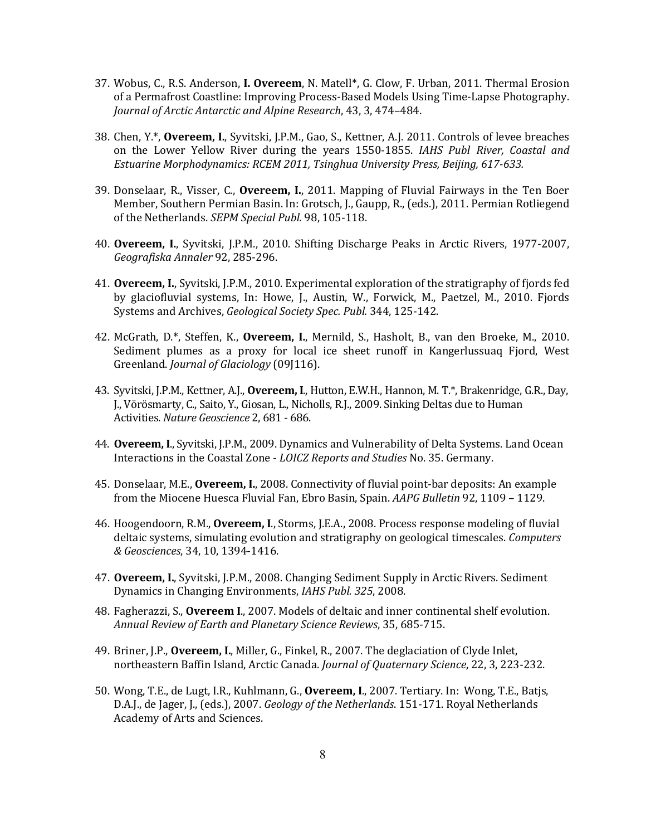- 37. Wobus, C., R.S. Anderson, **I. Overeem**, N. Matell\*, G. Clow, F. Urban, 2011. Thermal Erosion of a Permafrost Coastline: Improving Process-Based Models Using Time-Lapse Photography. *Journal of Arctic Antarctic and Alpine Research,* 43, 3, 474-484.
- 38. Chen, Y.\*, Overeem, I., Syvitski, J.P.M., Gao, S., Kettner, A.J. 2011. Controls of levee breaches on the Lower Yellow River during the years 1550-1855. *IAHS Publ River, Coastal and* Estuarine Morphodynamics: RCEM 2011, Tsinghua University Press, Beijing, 617-633.
- 39. Donselaar, R., Visser, C., **Overeem, I.**, 2011. Mapping of Fluvial Fairways in the Ten Boer Member, Southern Permian Basin. In: Grotsch, J., Gaupp, R., (eds.), 2011. Permian Rotliegend of the Netherlands. *SEPM Special Publ.* 98, 105-118.
- 40. Overeem, I., Syvitski, J.P.M., 2010. Shifting Discharge Peaks in Arctic Rivers, 1977-2007, *Geografiska Annaler* 92, 285-296.
- 41. **Overeem, I.**, Syvitski, J.P.M., 2010. Experimental exploration of the stratigraphy of fjords fed by glaciofluvial systems, In: Howe, J., Austin, W., Forwick, M., Paetzel, M., 2010. Fjords Systems and Archives, *Geological Society Spec. Publ.* 344, 125-142.
- 42. McGrath, D.\*, Steffen, K., **Overeem, I.**, Mernild, S., Hasholt, B., van den Broeke, M., 2010. Sediment plumes as a proxy for local ice sheet runoff in Kangerlussuaq Fjord, West Greenland. *Journal of Glaciology* (09[116).
- 43. Syvitski, J.P.M., Kettner, A.J., **Overeem, I.**, Hutton, E.W.H., Hannon, M. T.\*, Brakenridge, G.R., Day, J., Vörösmarty, C., Saito, Y., Giosan, L., Nicholls, R.J., 2009. Sinking Deltas due to Human Activities. *Nature Geoscience* 2, 681 - 686.
- 44. **Overeem, I.**, Syvitski, J.P.M., 2009. Dynamics and Vulnerability of Delta Systems. Land Ocean Interactions in the Coastal Zone - *LOICZ Reports and Studies* No. 35. Germany.
- 45. Donselaar, M.E., **Overeem, I.**, 2008. Connectivity of fluvial point-bar deposits: An example from the Miocene Huesca Fluvial Fan, Ebro Basin, Spain. *AAPG Bulletin* 92, 1109 - 1129.
- 46. Hoogendoorn, R.M., **Overeem, I.**, Storms, J.E.A., 2008. Process response modeling of fluvial deltaic systems, simulating evolution and stratigraphy on geological timescales. *Computers & Geosciences*, 34, 10, 1394-1416.
- 47. **Overeem, I.**, Syvitski, J.P.M., 2008. Changing Sediment Supply in Arctic Rivers. Sediment Dynamics in Changing Environments, *IAHS Publ.* 325, 2008.
- 48. Fagherazzi, S., **Overeem I.**, 2007. Models of deltaic and inner continental shelf evolution. *Annual Review of Earth and Planetary Science Reviews*, 35, 685-715.
- 49. Briner, J.P., **Overeem, I.**, Miller, G., Finkel, R., 2007. The deglaciation of Clyde Inlet, northeastern Baffin Island, Arctic Canada. *Journal of Quaternary Science*, 22, 3, 223-232.
- 50. Wong, T.E., de Lugt, I.R., Kuhlmann, G., **Overeem, I.**, 2007. Tertiary. In: Wong, T.E., Batjs, D.A.J., de Jager, J., (eds.), 2007. *Geology of the Netherlands*. 151-171. Royal Netherlands Academy of Arts and Sciences.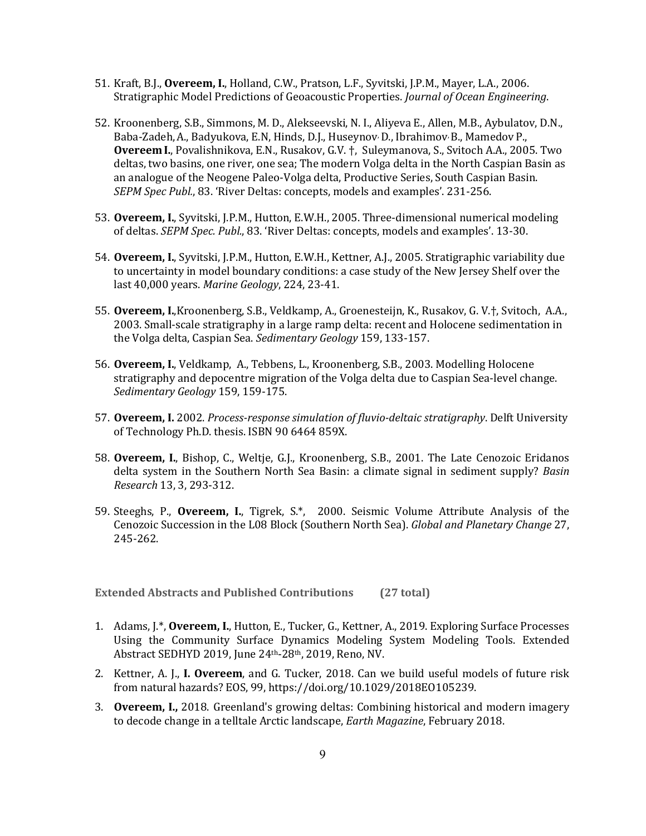- 51. Kraft, B.J., **Overeem, I.**, Holland, C.W., Pratson, L.F., Syvitski, J.P.M., Mayer, L.A., 2006. Stratigraphic Model Predictions of Geoacoustic Properties. *Journal of Ocean Engineering*.
- 52. Kroonenberg, S.B., Simmons, M. D., Alekseevski, N. I., Aliyeva E., Allen, M.B., Aybulatov, D.N., Baba-Zadeh, A., Badyukova, E.N, Hinds, D.J., Huseynov<sup>,</sup> D., Ibrahimov<sup>,</sup> B., Mamedov P., **Overeem I.**, Povalishnikova, E.N., Rusakov, G.V.  $\dagger$ , Suleymanova, S., Svitoch A.A., 2005. Two deltas, two basins, one river, one sea; The modern Volga delta in the North Caspian Basin as an analogue of the Neogene Paleo-Volga delta, Productive Series, South Caspian Basin. *SEPM Spec Publ.*, 83. 'River Deltas: concepts, models and examples'. 231-256.
- 53. Overeem, I., Syvitski, J.P.M., Hutton, E.W.H., 2005. Three-dimensional numerical modeling of deltas. *SEPM Spec. Publ.*, 83. 'River Deltas: concepts, models and examples'. 13-30.
- 54. Overeem, I., Syvitski, J.P.M., Hutton, E.W.H., Kettner, A.J., 2005. Stratigraphic variability due to uncertainty in model boundary conditions: a case study of the New Jersey Shelf over the last 40,000 years. *Marine Geology*, 224, 23-41.
- 55. **Overeem, I.**,Kroonenberg, S.B., Veldkamp, A., Groenesteijn, K., Rusakov, G. V.†, Svitoch, A.A., 2003. Small-scale stratigraphy in a large ramp delta: recent and Holocene sedimentation in the Volga delta, Caspian Sea. *Sedimentary Geology* 159, 133-157.
- 56. **Overeem, I.**, Veldkamp, A., Tebbens, L., Kroonenberg, S.B., 2003. Modelling Holocene stratigraphy and depocentre migration of the Volga delta due to Caspian Sea-level change. *Sedimentary Geology* 159, 159-175.
- 57. Overeem, I. 2002. *Process-response simulation of fluvio-deltaic stratigraphy*. Delft University of Technology Ph.D. thesis. ISBN 90 6464 859X.
- 58. **Overeem, I.**, Bishop, C., Weltje, G.J., Kroonenberg, S.B., 2001. The Late Cenozoic Eridanos delta system in the Southern North Sea Basin: a climate signal in sediment supply? *Basin Research* 13, 3, 293-312.
- 59. Steeghs, P., **Overeem, I.**, Tigrek, S.\*, 2000. Seismic Volume Attribute Analysis of the Cenozoic Succession in the L08 Block (Southern North Sea). *Global and Planetary Change* 27, 245-262.

**Extended Abstracts and Published Contributions (27 total)** 

- 1. Adams, J.\*, **Overeem, I.**, Hutton, E., Tucker, G., Kettner, A., 2019. Exploring Surface Processes Using the Community Surface Dynamics Modeling System Modeling Tools. Extended Abstract SEDHYD 2019, June 24th-28th, 2019, Reno, NV.
- 2. Kettner, A. J., I. Overeem, and G. Tucker, 2018. Can we build useful models of future risk from natural hazards? EOS, 99, https://doi.org/10.1029/2018EO105239.
- 3. **Overeem, I.,** 2018. Greenland's growing deltas: Combining historical and modern imagery to decode change in a telltale Arctic landscape, *Earth Magazine*, February 2018.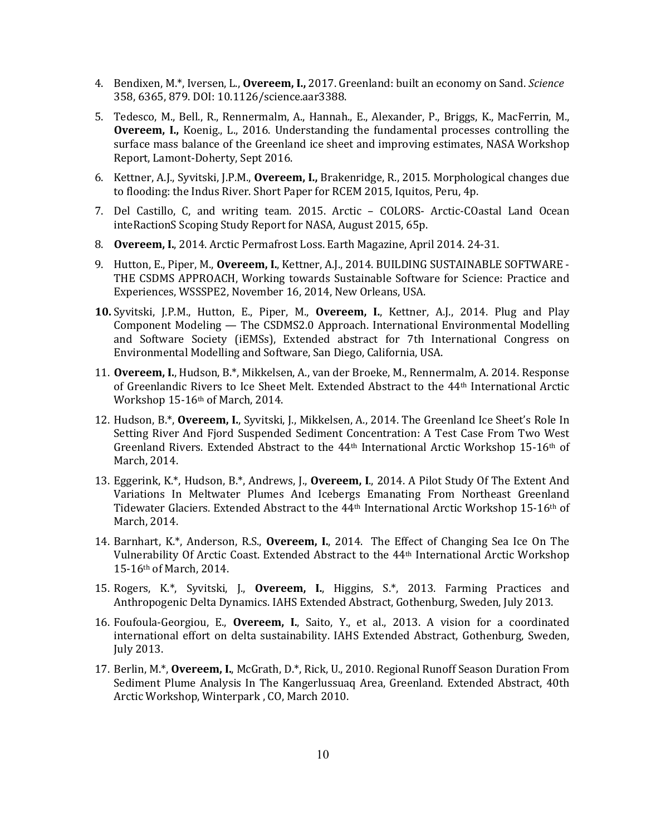- 4. Bendixen, M.\*, Iversen, L., **Overeem, I.,** 2017. Greenland: built an economy on Sand. *Science* 358, 6365, 879. DOI: 10.1126/science.aar3388.
- 5. Tedesco, M., Bell., R., Rennermalm, A., Hannah., E., Alexander, P., Briggs, K., MacFerrin, M., **Overeem, I.,** Koenig., L., 2016. Understanding the fundamental processes controlling the surface mass balance of the Greenland ice sheet and improving estimates, NASA Workshop Report, Lamont-Doherty, Sept 2016.
- 6. Kettner, A.J., Syvitski, J.P.M., **Overeem, I.,** Brakenridge, R., 2015. Morphological changes due to flooding: the Indus River. Short Paper for RCEM 2015, Iquitos, Peru, 4p.
- 7. Del Castillo, C, and writing team. 2015. Arctic COLORS- Arctic-COastal Land Ocean inteRactionS Scoping Study Report for NASA, August 2015, 65p.
- 8. **Overeem, I.**, 2014. Arctic Permafrost Loss. Earth Magazine, April 2014. 24-31.
- 9. Hutton, E., Piper, M., **Overeem, I.**, Kettner, A.J., 2014. BUILDING SUSTAINABLE SOFTWARE -THE CSDMS APPROACH, Working towards Sustainable Software for Science: Practice and Experiences, WSSSPE2, November 16, 2014, New Orleans, USA.
- **10.** Syvitski, J.P.M., Hutton, E., Piper, M., **Overeem, I.**, Kettner, A.J., 2014. Plug and Play Component Modeling — The CSDMS2.0 Approach. International Environmental Modelling and Software Society (iEMSs), Extended abstract for 7th International Congress on Environmental Modelling and Software, San Diego, California, USA.
- 11. **Overeem, I.**, Hudson, B.\*, Mikkelsen, A., van der Broeke, M., Rennermalm, A. 2014. Response of Greenlandic Rivers to Ice Sheet Melt. Extended Abstract to the 44<sup>th</sup> International Arctic Workshop 15-16th of March, 2014.
- 12. Hudson, B.\*, **Overeem, I.**, Syvitski, J., Mikkelsen, A., 2014. The Greenland Ice Sheet's Role In Setting River And Fjord Suspended Sediment Concentration: A Test Case From Two West Greenland Rivers. Extended Abstract to the 44<sup>th</sup> International Arctic Workshop 15-16<sup>th</sup> of March, 2014.
- 13. Eggerink, K.\*, Hudson, B.\*, Andrews, J., **Overeem, I.**, 2014. A Pilot Study Of The Extent And Variations In Meltwater Plumes And Icebergs Emanating From Northeast Greenland Tidewater Glaciers. Extended Abstract to the 44<sup>th</sup> International Arctic Workshop 15-16<sup>th</sup> of March, 2014.
- 14. Barnhart, K.\*, Anderson, R.S., **Overeem, I.**, 2014. The Effect of Changing Sea Ice On The Vulnerability Of Arctic Coast. Extended Abstract to the 44<sup>th</sup> International Arctic Workshop 15-16th of March, 2014.
- 15. Rogers, K.\*, Syvitski, J., Overeem, I., Higgins, S.\*, 2013. Farming Practices and Anthropogenic Delta Dynamics. IAHS Extended Abstract, Gothenburg, Sweden, July 2013.
- 16. Foufoula-Georgiou, E., **Overeem, I.**, Saito, Y., et al., 2013. A vision for a coordinated international effort on delta sustainability. IAHS Extended Abstract, Gothenburg, Sweden, July 2013.
- 17. Berlin, M.\*, **Overeem, I.**, McGrath, D.\*, Rick, U., 2010. Regional Runoff Season Duration From Sediment Plume Analysis In The Kangerlussuaq Area, Greenland. Extended Abstract, 40th Arctic Workshop, Winterpark, CO, March 2010.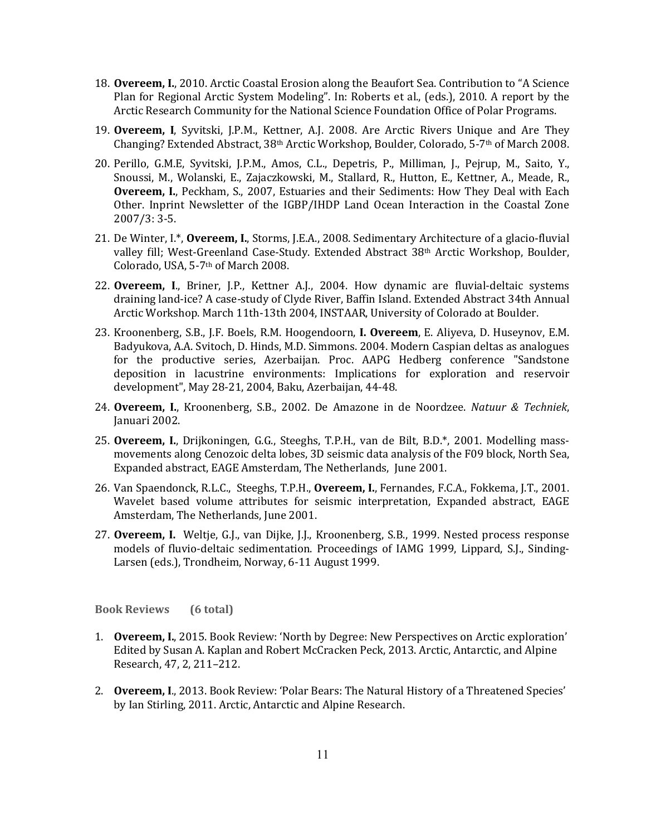- 18. **Overeem, I.**, 2010. Arctic Coastal Erosion along the Beaufort Sea. Contribution to "A Science Plan for Regional Arctic System Modeling". In: Roberts et al., (eds.), 2010. A report by the Arctic Research Community for the National Science Foundation Office of Polar Programs.
- 19. **Overeem, I**, Syvitski, J.P.M., Kettner, A.J. 2008. Are Arctic Rivers Unique and Are They Changing? Extended Abstract,  $38<sup>th</sup>$  Arctic Workshop, Boulder, Colorado, 5-7<sup>th</sup> of March 2008.
- 20. Perillo, G.M.E, Syvitski, J.P.M., Amos, C.L., Depetris, P., Milliman, J., Pejrup, M., Saito, Y., Snoussi, M., Wolanski, E., Zajaczkowski, M., Stallard, R., Hutton, E., Kettner, A., Meade, R., **Overeem, I.**, Peckham, S., 2007, Estuaries and their Sediments: How They Deal with Each Other. Inprint Newsletter of the IGBP/IHDP Land Ocean Interaction in the Coastal Zone  $2007/3:3-5.$
- 21. De Winter, I.\*, Overeem, I., Storms, J.E.A., 2008. Sedimentary Architecture of a glacio-fluvial valley fill; West-Greenland Case-Study. Extended Abstract 38<sup>th</sup> Arctic Workshop, Boulder, Colorado, USA, 5-7<sup>th</sup> of March 2008.
- 22. **Overeem, I.**, Briner, J.P., Kettner A.J., 2004. How dynamic are fluvial-deltaic systems draining land-ice? A case-study of Clyde River, Baffin Island. Extended Abstract 34th Annual Arctic Workshop. March 11th-13th 2004, INSTAAR, University of Colorado at Boulder.
- 23. Kroonenberg, S.B., J.F. Boels, R.M. Hoogendoorn, I. Overeem, E. Aliyeva, D. Huseynov, E.M. Badyukova, A.A. Svitoch, D. Hinds, M.D. Simmons. 2004. Modern Caspian deltas as analogues for the productive series, Azerbaijan. Proc. AAPG Hedberg conference "Sandstone deposition in lacustrine environments: Implications for exploration and reservoir development", May 28-21, 2004, Baku, Azerbaijan, 44-48.
- 24. **Overeem, I.**, Kroonenberg, S.B., 2002. De Amazone in de Noordzee. *Natuur & Techniek*, Januari 2002.
- 25. Overeem, I., Drijkoningen, G.G., Steeghs, T.P.H., van de Bilt, B.D.\*, 2001. Modelling massmovements along Cenozoic delta lobes, 3D seismic data analysis of the F09 block, North Sea, Expanded abstract, EAGE Amsterdam, The Netherlands, June 2001.
- 26. Van Spaendonck, R.L.C., Steeghs, T.P.H., Overeem, I., Fernandes, F.C.A., Fokkema, J.T., 2001. Wavelet based volume attributes for seismic interpretation, Expanded abstract, EAGE Amsterdam, The Netherlands, June 2001.
- 27. **Overeem, I.** Weltje, G.J., van Dijke, J.J., Kroonenberg, S.B., 1999. Nested process response models of fluvio-deltaic sedimentation. Proceedings of IAMG 1999, Lippard, S.J., Sinding-Larsen (eds.), Trondheim, Norway, 6-11 August 1999.

**Book Reviews (6 total)**

- 1. **Overeem, I.**, 2015. Book Review: 'North by Degree: New Perspectives on Arctic exploration' Edited by Susan A. Kaplan and Robert McCracken Peck, 2013. Arctic, Antarctic, and Alpine Research, 47, 2, 211-212.
- 2. **Overeem, I.**, 2013. Book Review: 'Polar Bears: The Natural History of a Threatened Species' by Ian Stirling, 2011. Arctic, Antarctic and Alpine Research.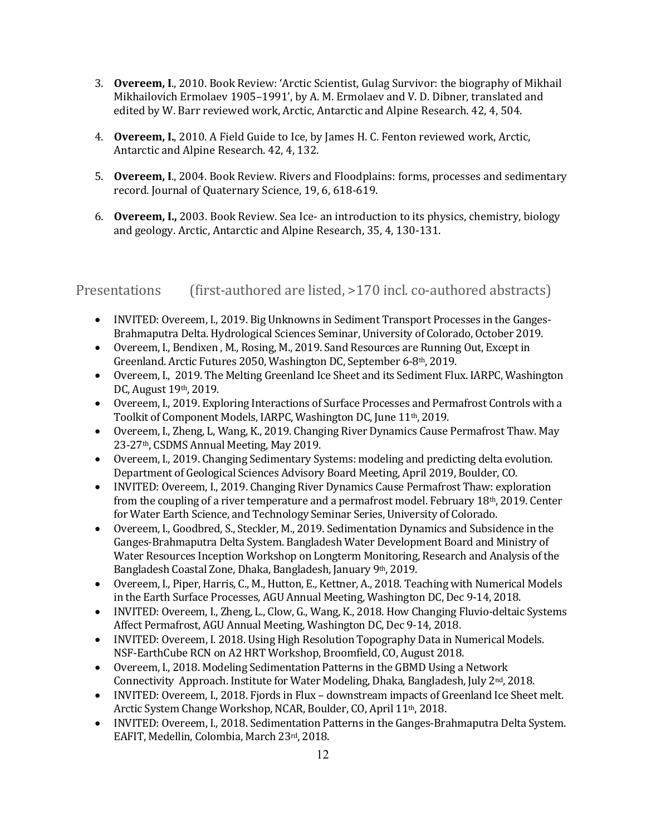- 3. **Overeem, I.**, 2010. Book Review: 'Arctic Scientist, Gulag Survivor: the biography of Mikhail Mikhailovich Ermolaev 1905–1991', by A. M. Ermolaev and V. D. Dibner, translated and edited by W. Barr reviewed work, Arctic, Antarctic and Alpine Research. 42, 4, 504.
- 4. **Overeem, I.**, 2010. A Field Guide to Ice, by James H. C. Fenton reviewed work, Arctic, Antarctic and Alpine Research. 42, 4, 132.
- 5. **Overeem, I.**, 2004. Book Review. Rivers and Floodplains: forms, processes and sedimentary record. Journal of Quaternary Science, 19, 6, 618-619.
- 6. **Overeem, I.,** 2003. Book Review. Sea Ice- an introduction to its physics, chemistry, biology and geology. Arctic, Antarctic and Alpine Research, 35, 4, 130-131.

Presentations (first-authored are listed, >170 incl. co-authored abstracts)

- INVITED: Overeem, I., 2019. Big Unknowns in Sediment Transport Processes in the Ganges-Brahmaputra Delta. Hydrological Sciences Seminar, University of Colorado, October 2019.
- Overeem, I., Bendixen, M., Rosing, M., 2019. Sand Resources are Running Out, Except in Greenland. Arctic Futures 2050, Washington DC, September 6-8th, 2019.
- Overeem, I., 2019. The Melting Greenland Ice Sheet and its Sediment Flux. IARPC, Washington DC, August 19th, 2019.
- Overeem, I., 2019. Exploring Interactions of Surface Processes and Permafrost Controls with a Toolkit of Component Models, IARPC, Washington DC, June 11<sup>th</sup>, 2019.
- Overeem, I., Zheng, L. Wang, K., 2019. Changing River Dynamics Cause Permafrost Thaw. May 23-27<sup>th</sup>, CSDMS Annual Meeting, May 2019.
- Overeem, I., 2019. Changing Sedimentary Systems: modeling and predicting delta evolution. Department of Geological Sciences Advisory Board Meeting, April 2019, Boulder, CO.
- INVITED: Overeem, I., 2019. Changing River Dynamics Cause Permafrost Thaw: exploration from the coupling of a river temperature and a permafrost model. February  $18<sup>th</sup>$ , 2019. Center for Water Earth Science, and Technology Seminar Series, University of Colorado.
- Overeem, I., Goodbred, S., Steckler, M., 2019. Sedimentation Dynamics and Subsidence in the Ganges-Brahmaputra Delta System. Bangladesh Water Development Board and Ministry of Water Resources Inception Workshop on Longterm Monitoring, Research and Analysis of the Bangladesh Coastal Zone, Dhaka, Bangladesh, January 9th, 2019.
- Overeem, I., Piper, Harris, C., M., Hutton, E., Kettner, A., 2018. Teaching with Numerical Models in the Earth Surface Processes, AGU Annual Meeting, Washington DC, Dec 9-14, 2018.
- INVITED: Overeem, I., Zheng, L., Clow, G., Wang, K., 2018. How Changing Fluvio-deltaic Systems Affect Permafrost, AGU Annual Meeting, Washington DC, Dec 9-14, 2018.
- INVITED: Overeem, I. 2018. Using High Resolution Topography Data in Numerical Models. NSF-EarthCube RCN on A2 HRT Workshop, Broomfield, CO, August 2018.
- Overeem, I., 2018. Modeling Sedimentation Patterns in the GBMD Using a Network Connectivity Approach. Institute for Water Modeling, Dhaka, Bangladesh, July 2<sup>nd</sup>, 2018.
- INVITED: Overeem, I., 2018. Fjords in Flux downstream impacts of Greenland Ice Sheet melt. Arctic System Change Workshop, NCAR, Boulder, CO, April 11<sup>th</sup>, 2018.
- INVITED: Overeem, I., 2018. Sedimentation Patterns in the Ganges-Brahmaputra Delta System. EAFIT, Medellin, Colombia, March 23rd, 2018.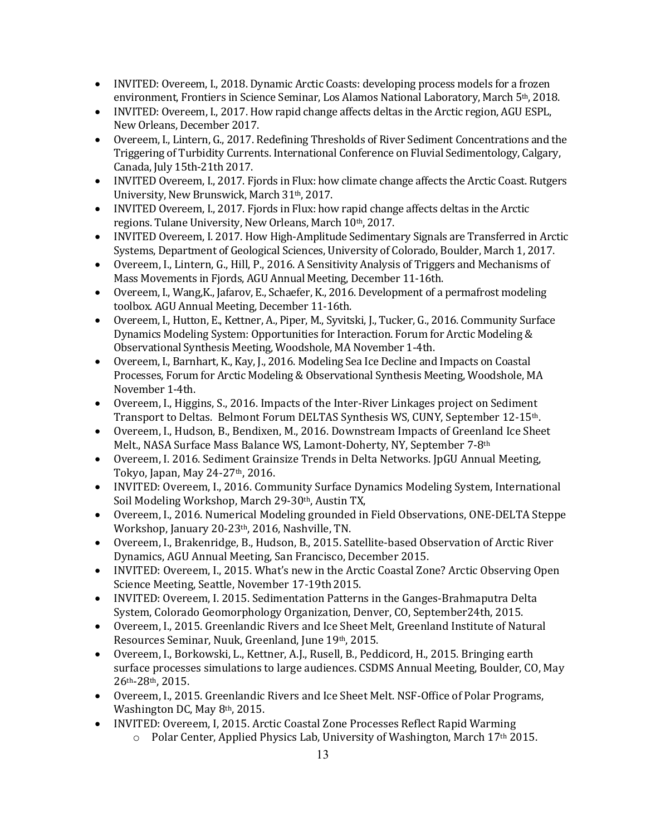- INVITED: Overeem, I., 2018. Dynamic Arctic Coasts: developing process models for a frozen environment, Frontiers in Science Seminar, Los Alamos National Laboratory, March 5<sup>th</sup>, 2018.
- INVITED: Overeem, I., 2017. How rapid change affects deltas in the Arctic region, AGU ESPL, New Orleans, December 2017.
- Overeem, I., Lintern, G., 2017. Redefining Thresholds of River Sediment Concentrations and the Triggering of Turbidity Currents. International Conference on Fluvial Sedimentology, Calgary, Canada, July 15th-21th 2017.
- INVITED Overeem, I., 2017. Fjords in Flux: how climate change affects the Arctic Coast. Rutgers University, New Brunswick, March 31<sup>th</sup>, 2017.
- INVITED Overeem, I., 2017. Fjords in Flux: how rapid change affects deltas in the Arctic regions. Tulane University, New Orleans, March 10th, 2017.
- INVITED Overeem, I. 2017. How High-Amplitude Sedimentary Signals are Transferred in Arctic Systems, Department of Geological Sciences, University of Colorado, Boulder, March 1, 2017.
- Overeem, I., Lintern, G., Hill, P., 2016. A Sensitivity Analysis of Triggers and Mechanisms of Mass Movements in Fjords, AGU Annual Meeting, December 11-16th.
- Overeem, I., Wang, K., Jafarov, E., Schaefer, K., 2016. Development of a permafrost modeling toolbox. AGU Annual Meeting, December 11-16th.
- Overeem, I., Hutton, E., Kettner, A., Piper, M., Syvitski, J., Tucker, G., 2016. Community Surface Dynamics Modeling System: Opportunities for Interaction. Forum for Arctic Modeling & Observational Synthesis Meeting, Woodshole, MA November 1-4th.
- Overeem, I., Barnhart, K., Kay, J., 2016. Modeling Sea Ice Decline and Impacts on Coastal Processes, Forum for Arctic Modeling & Observational Synthesis Meeting, Woodshole, MA November 1-4th.
- Overeem, I., Higgins, S., 2016. Impacts of the Inter-River Linkages project on Sediment Transport to Deltas. Belmont Forum DELTAS Synthesis WS, CUNY, September 12-15<sup>th</sup>.
- Overeem, I., Hudson, B., Bendixen, M., 2016. Downstream Impacts of Greenland Ice Sheet Melt., NASA Surface Mass Balance WS, Lamont-Doherty, NY, September 7-8th
- Overeem, I. 2016. Sediment Grainsize Trends in Delta Networks. JpGU Annual Meeting, Tokyo, Japan, May 24-27<sup>th</sup>, 2016.
- INVITED: Overeem, I., 2016. Community Surface Dynamics Modeling System, International Soil Modeling Workshop, March 29-30th, Austin TX,
- Overeem, I., 2016. Numerical Modeling grounded in Field Observations, ONE-DELTA Steppe Workshop, January 20-23<sup>th</sup>, 2016, Nashville, TN.
- Overeem, I., Brakenridge, B., Hudson, B., 2015. Satellite-based Observation of Arctic River Dynamics, AGU Annual Meeting, San Francisco, December 2015.
- INVITED: Overeem, I., 2015. What's new in the Arctic Coastal Zone? Arctic Observing Open Science Meeting, Seattle, November 17-19th 2015.
- INVITED: Overeem, I. 2015. Sedimentation Patterns in the Ganges-Brahmaputra Delta System, Colorado Geomorphology Organization, Denver, CO, September24th, 2015.
- Overeem, I., 2015. Greenlandic Rivers and Ice Sheet Melt, Greenland Institute of Natural Resources Seminar, Nuuk, Greenland, June 19th, 2015.
- Overeem, I., Borkowski, L., Kettner, A.J., Rusell, B., Peddicord, H., 2015. Bringing earth surface processes simulations to large audiences. CSDMS Annual Meeting, Boulder, CO, May 26th-28th, 2015.
- Overeem, I., 2015. Greenlandic Rivers and Ice Sheet Melt. NSF-Office of Polar Programs, Washington DC, May 8<sup>th</sup>, 2015.
- INVITED: Overeem, I, 2015. Arctic Coastal Zone Processes Reflect Rapid Warming
	- o Polar Center, Applied Physics Lab, University of Washington, March 17<sup>th</sup> 2015.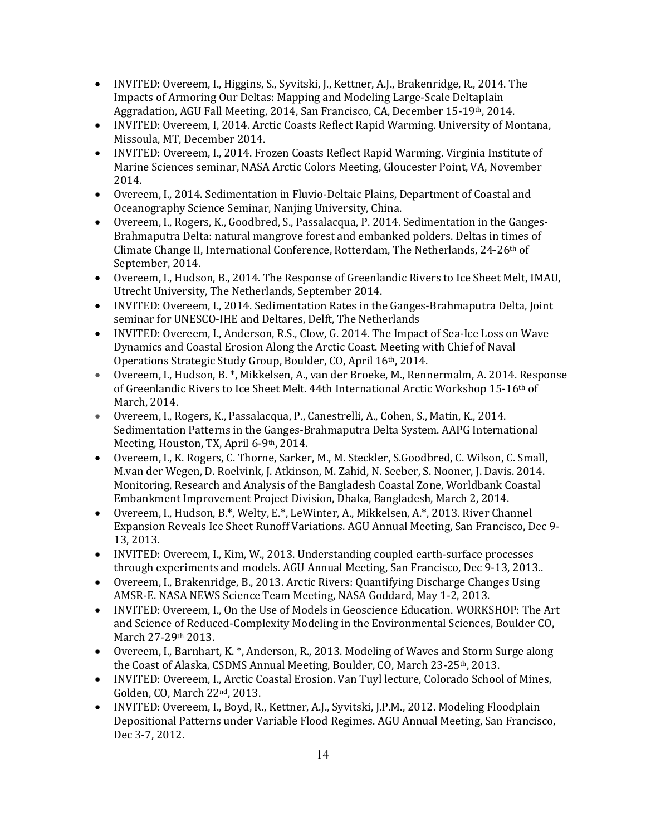- INVITED: Overeem, I., Higgins, S., Syvitski, J., Kettner, A.J., Brakenridge, R., 2014. The Impacts of Armoring Our Deltas: Mapping and Modeling Large-Scale Deltaplain Aggradation, AGU Fall Meeting, 2014, San Francisco, CA, December 15-19th, 2014.
- INVITED: Overeem, I, 2014. Arctic Coasts Reflect Rapid Warming. University of Montana, Missoula, MT, December 2014.
- INVITED: Overeem, I., 2014. Frozen Coasts Reflect Rapid Warming. Virginia Institute of Marine Sciences seminar, NASA Arctic Colors Meeting, Gloucester Point, VA, November 2014.
- Overeem, I., 2014. Sedimentation in Fluvio-Deltaic Plains, Department of Coastal and Oceanography Science Seminar, Nanjing University, China.
- Overeem, I., Rogers, K., Goodbred, S., Passalacqua, P. 2014. Sedimentation in the Ganges-Brahmaputra Delta: natural mangrove forest and embanked polders. Deltas in times of Climate Change II, International Conference, Rotterdam, The Netherlands, 24-26<sup>th</sup> of September, 2014.
- Overeem, I., Hudson, B., 2014. The Response of Greenlandic Rivers to Ice Sheet Melt, IMAU, Utrecht University, The Netherlands, September 2014.
- INVITED: Overeem, I., 2014. Sedimentation Rates in the Ganges-Brahmaputra Delta, Joint seminar for UNESCO-IHE and Deltares, Delft, The Netherlands
- INVITED: Overeem, I., Anderson, R.S., Clow, G. 2014. The Impact of Sea-Ice Loss on Wave Dynamics and Coastal Erosion Along the Arctic Coast. Meeting with Chief of Naval Operations Strategic Study Group, Boulder, CO, April 16th, 2014.
- Overeem, I., Hudson, B. \*, Mikkelsen, A., van der Broeke, M., Rennermalm, A. 2014. Response of Greenlandic Rivers to Ice Sheet Melt. 44th International Arctic Workshop 15-16th of March, 2014.
- Overeem, I., Rogers, K., Passalacqua, P., Canestrelli, A., Cohen, S., Matin, K., 2014. Sedimentation Patterns in the Ganges-Brahmaputra Delta System. AAPG International Meeting, Houston, TX, April 6-9th, 2014.
- Overeem, I., K. Rogers, C. Thorne, Sarker, M., M. Steckler, S.Goodbred, C. Wilson, C. Small, M.van der Wegen, D. Roelvink, J. Atkinson, M. Zahid, N. Seeber, S. Nooner, J. Davis. 2014. Monitoring, Research and Analysis of the Bangladesh Coastal Zone, Worldbank Coastal Embankment Improvement Project Division, Dhaka, Bangladesh, March 2, 2014.
- Overeem, I., Hudson, B.\*, Welty, E.\*, LeWinter, A., Mikkelsen, A.\*, 2013. River Channel Expansion Reveals Ice Sheet Runoff Variations. AGU Annual Meeting, San Francisco, Dec 9-13, 2013.
- INVITED: Overeem, I., Kim, W., 2013. Understanding coupled earth-surface processes through experiments and models. AGU Annual Meeting, San Francisco, Dec 9-13, 2013..
- Overeem, I., Brakenridge, B., 2013. Arctic Rivers: Quantifying Discharge Changes Using AMSR-E. NASA NEWS Science Team Meeting, NASA Goddard, May 1-2, 2013.
- INVITED: Overeem, I., On the Use of Models in Geoscience Education. WORKSHOP: The Art and Science of Reduced-Complexity Modeling in the Environmental Sciences, Boulder CO, March 27-29th 2013.
- Overeem, I., Barnhart, K. \*, Anderson, R., 2013. Modeling of Waves and Storm Surge along the Coast of Alaska, CSDMS Annual Meeting, Boulder, CO, March 23-25th, 2013.
- INVITED: Overeem, I., Arctic Coastal Erosion. Van Tuyl lecture, Colorado School of Mines, Golden, CO, March 22<sup>nd</sup>, 2013.
- INVITED: Overeem, I., Boyd, R., Kettner, A.J., Syvitski, J.P.M., 2012. Modeling Floodplain Depositional Patterns under Variable Flood Regimes. AGU Annual Meeting, San Francisco, Dec 3-7, 2012.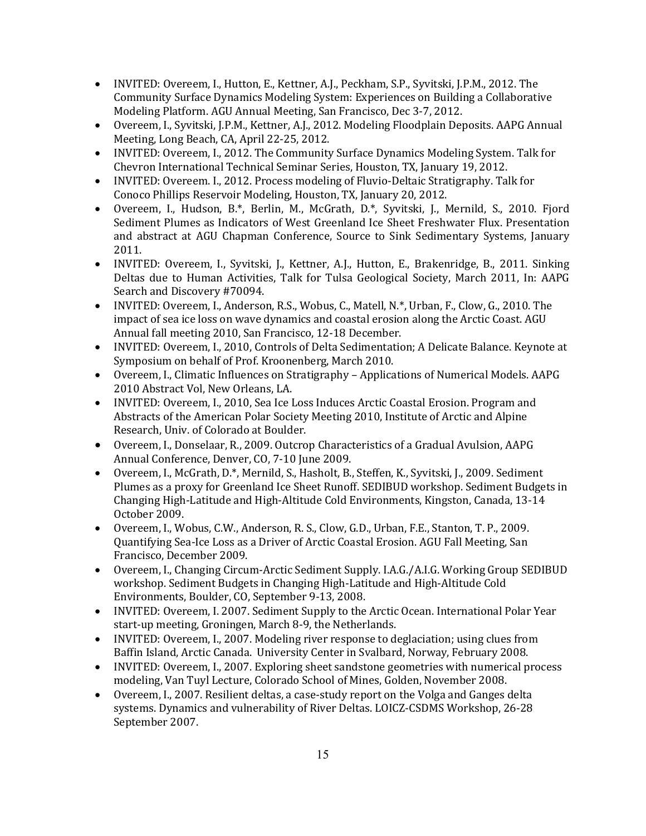- INVITED: Overeem, I., Hutton, E., Kettner, A.J., Peckham, S.P., Syvitski, J.P.M., 2012. The Community Surface Dynamics Modeling System: Experiences on Building a Collaborative Modeling Platform. AGU Annual Meeting, San Francisco, Dec 3-7, 2012.
- Overeem, I., Syvitski, J.P.M., Kettner, A.J., 2012. Modeling Floodplain Deposits. AAPG Annual Meeting, Long Beach, CA, April 22-25, 2012.
- INVITED: Overeem, I., 2012. The Community Surface Dynamics Modeling System. Talk for Chevron International Technical Seminar Series, Houston, TX, January 19, 2012.
- INVITED: Overeem. I., 2012. Process modeling of Fluvio-Deltaic Stratigraphy. Talk for Conoco Phillips Reservoir Modeling, Houston, TX, January 20, 2012.
- Overeem, I., Hudson, B.\*, Berlin, M., McGrath, D.\*, Syvitski, J., Mernild, S., 2010. Fjord Sediment Plumes as Indicators of West Greenland Ice Sheet Freshwater Flux. Presentation and abstract at AGU Chapman Conference, Source to Sink Sedimentary Systems, January 2011.
- INVITED: Overeem, I., Syvitski, J., Kettner, A.J., Hutton, E., Brakenridge, B., 2011. Sinking Deltas due to Human Activities, Talk for Tulsa Geological Society, March 2011, In: AAPG Search and Discovery #70094.
- INVITED: Overeem, I., Anderson, R.S., Wobus, C., Matell, N.\*, Urban, F., Clow, G., 2010. The impact of sea ice loss on wave dynamics and coastal erosion along the Arctic Coast. AGU Annual fall meeting 2010, San Francisco, 12-18 December.
- INVITED: Overeem, I., 2010, Controls of Delta Sedimentation; A Delicate Balance. Keynote at Symposium on behalf of Prof. Kroonenberg, March 2010.
- Overeem, I., Climatic Influences on Stratigraphy Applications of Numerical Models. AAPG 2010 Abstract Vol, New Orleans, LA.
- INVITED: Overeem, I., 2010, Sea Ice Loss Induces Arctic Coastal Erosion. Program and Abstracts of the American Polar Society Meeting 2010, Institute of Arctic and Alpine Research, Univ. of Colorado at Boulder.
- Overeem, I., Donselaar, R., 2009. Outcrop Characteristics of a Gradual Avulsion, AAPG Annual Conference, Denver, CO, 7-10 June 2009.
- Overeem, I., McGrath, D.\*, Mernild, S., Hasholt, B., Steffen, K., Syvitski, J., 2009. Sediment Plumes as a proxy for Greenland Ice Sheet Runoff. SEDIBUD workshop. Sediment Budgets in Changing High-Latitude and High-Altitude Cold Environments, Kingston, Canada, 13-14 October 2009.
- Overeem, I., Wobus, C.W., Anderson, R. S., Clow, G.D., Urban, F.E., Stanton, T. P., 2009. Quantifying Sea-Ice Loss as a Driver of Arctic Coastal Erosion. AGU Fall Meeting, San Francisco, December 2009.
- Overeem, I., Changing Circum-Arctic Sediment Supply. I.A.G./A.I.G. Working Group SEDIBUD workshop. Sediment Budgets in Changing High-Latitude and High-Altitude Cold Environments, Boulder, CO, September 9-13, 2008.
- INVITED: Overeem, I. 2007. Sediment Supply to the Arctic Ocean. International Polar Year start-up meeting, Groningen, March 8-9, the Netherlands.
- INVITED: Overeem, I., 2007. Modeling river response to deglaciation; using clues from Baffin Island, Arctic Canada. University Center in Svalbard, Norway, February 2008.
- INVITED: Overeem, I., 2007. Exploring sheet sandstone geometries with numerical process modeling, Van Tuyl Lecture, Colorado School of Mines, Golden, November 2008.
- Overeem, I., 2007. Resilient deltas, a case-study report on the Volga and Ganges delta systems. Dynamics and vulnerability of River Deltas. LOICZ-CSDMS Workshop, 26-28 September 2007.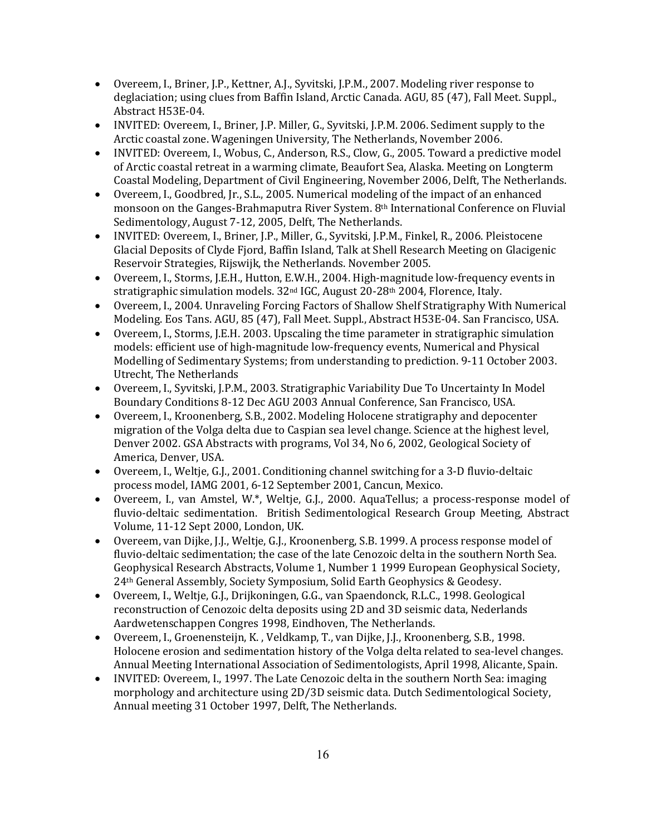- Overeem, I., Briner, J.P., Kettner, A.J., Syvitski, J.P.M., 2007. Modeling river response to deglaciation; using clues from Baffin Island, Arctic Canada. AGU, 85 (47), Fall Meet. Suppl., Abstract H53E-04.
- INVITED: Overeem, I., Briner, J.P. Miller, G., Syvitski, J.P.M. 2006. Sediment supply to the Arctic coastal zone. Wageningen University, The Netherlands, November 2006.
- INVITED: Overeem, I., Wobus, C., Anderson, R.S., Clow, G., 2005. Toward a predictive model of Arctic coastal retreat in a warming climate, Beaufort Sea, Alaska. Meeting on Longterm Coastal Modeling, Department of Civil Engineering, November 2006, Delft, The Netherlands.
- Overeem, I., Goodbred, Jr., S.L., 2005. Numerical modeling of the impact of an enhanced monsoon on the Ganges-Brahmaputra River System.  $8<sup>th</sup>$  International Conference on Fluvial Sedimentology, August 7-12, 2005, Delft, The Netherlands.
- INVITED: Overeem, I., Briner, J.P., Miller, G., Syvitski, J.P.M., Finkel, R., 2006. Pleistocene Glacial Deposits of Clyde Fjord, Baffin Island, Talk at Shell Research Meeting on Glacigenic Reservoir Strategies, Rijswijk, the Netherlands. November 2005.
- Overeem, I., Storms, J.E.H., Hutton, E.W.H., 2004. High-magnitude low-frequency events in stratigraphic simulation models.  $32<sup>nd</sup>$  IGC, August 20-28<sup>th</sup> 2004, Florence, Italy.
- Overeem, I., 2004. Unraveling Forcing Factors of Shallow Shelf Stratigraphy With Numerical Modeling. Eos Tans. AGU, 85 (47), Fall Meet. Suppl., Abstract H53E-04. San Francisco, USA.
- Overeem, I., Storms, J.E.H. 2003. Upscaling the time parameter in stratigraphic simulation models: efficient use of high-magnitude low-frequency events, Numerical and Physical Modelling of Sedimentary Systems; from understanding to prediction. 9-11 October 2003. Utrecht, The Netherlands
- Overeem, I., Syvitski, J.P.M., 2003. Stratigraphic Variability Due To Uncertainty In Model Boundary Conditions 8-12 Dec AGU 2003 Annual Conference, San Francisco, USA.
- Overeem, I., Kroonenberg, S.B., 2002. Modeling Holocene stratigraphy and depocenter migration of the Volga delta due to Caspian sea level change. Science at the highest level, Denver 2002. GSA Abstracts with programs, Vol 34, No 6, 2002, Geological Society of America, Denver, USA.
- Overeem, I., Weltie, G.J., 2001. Conditioning channel switching for a 3-D fluvio-deltaic process model, IAMG 2001, 6-12 September 2001, Cancun, Mexico.
- Overeem, I., van Amstel, W.\*, Weltje, G.J., 2000. AquaTellus; a process-response model of fluvio-deltaic sedimentation. British Sedimentological Research Group Meeting, Abstract Volume, 11-12 Sept 2000, London, UK.
- Overeem, van Dijke, J.J., Weltje, G.J., Kroonenberg, S.B. 1999. A process response model of fluvio-deltaic sedimentation; the case of the late Cenozoic delta in the southern North Sea. Geophysical Research Abstracts, Volume 1, Number 1 1999 European Geophysical Society, 24<sup>th</sup> General Assembly, Society Symposium, Solid Earth Geophysics & Geodesy.
- Overeem, I., Weltje, G.J., Drijkoningen, G.G., van Spaendonck, R.L.C., 1998. Geological reconstruction of Cenozoic delta deposits using 2D and 3D seismic data, Nederlands Aardwetenschappen Congres 1998, Eindhoven, The Netherlands.
- Overeem, I., Groenensteijn, K., Veldkamp, T., van Dijke, J.J., Kroonenberg, S.B., 1998. Holocene erosion and sedimentation history of the Volga delta related to sea-level changes. Annual Meeting International Association of Sedimentologists, April 1998, Alicante, Spain.
- INVITED: Overeem, I., 1997. The Late Cenozoic delta in the southern North Sea: imaging morphology and architecture using 2D/3D seismic data. Dutch Sedimentological Society, Annual meeting 31 October 1997, Delft, The Netherlands.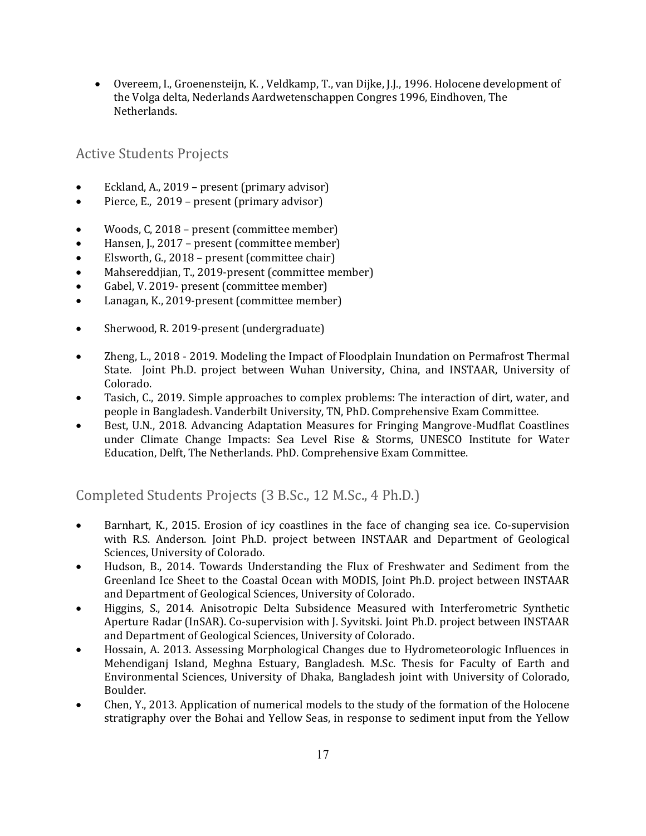• Overeem, I., Groenensteijn, K., Veldkamp, T., van Dijke, J.J., 1996. Holocene development of the Volga delta, Nederlands Aardwetenschappen Congres 1996, Eindhoven, The Netherlands.

#### **Active Students Projects**

- Eckland, A., 2019 present (primary advisor)
- Pierce, E.,  $2019$  present (primary advisor)
- Woods, C, 2018 present (committee member)
- Hansen, J., 2017 present (committee member)
- Elsworth, G., 2018 present (committee chair)
- Mahsereddjian, T., 2019-present (committee member)
- Gabel, V. 2019- present (committee member)
- Lanagan, K., 2019-present (committee member)
- Sherwood, R. 2019-present (undergraduate)
- Zheng, L., 2018 2019. Modeling the Impact of Floodplain Inundation on Permafrost Thermal State. Joint Ph.D. project between Wuhan University, China, and INSTAAR, University of Colorado.
- Tasich, C., 2019. Simple approaches to complex problems: The interaction of dirt, water, and people in Bangladesh. Vanderbilt University, TN, PhD. Comprehensive Exam Committee.
- Best, U.N., 2018. Advancing Adaptation Measures for Fringing Mangrove-Mudflat Coastlines under Climate Change Impacts: Sea Level Rise & Storms, UNESCO Institute for Water Education, Delft, The Netherlands. PhD. Comprehensive Exam Committee.

Completed Students Projects (3 B.Sc., 12 M.Sc., 4 Ph.D.)

- Barnhart, K., 2015. Erosion of icy coastlines in the face of changing sea ice. Co-supervision with R.S. Anderson. Joint Ph.D. project between INSTAAR and Department of Geological Sciences, University of Colorado.
- Hudson, B., 2014. Towards Understanding the Flux of Freshwater and Sediment from the Greenland Ice Sheet to the Coastal Ocean with MODIS, Joint Ph.D. project between INSTAAR and Department of Geological Sciences, University of Colorado.
- Higgins, S., 2014. Anisotropic Delta Subsidence Measured with Interferometric Synthetic Aperture Radar (InSAR). Co-supervision with J. Syvitski. Joint Ph.D. project between INSTAAR and Department of Geological Sciences, University of Colorado.
- Hossain, A. 2013. Assessing Morphological Changes due to Hydrometeorologic Influences in Mehendiganj Island, Meghna Estuary, Bangladesh. M.Sc. Thesis for Faculty of Earth and Environmental Sciences, University of Dhaka, Bangladesh joint with University of Colorado, Boulder.
- Chen, Y., 2013. Application of numerical models to the study of the formation of the Holocene stratigraphy over the Bohai and Yellow Seas, in response to sediment input from the Yellow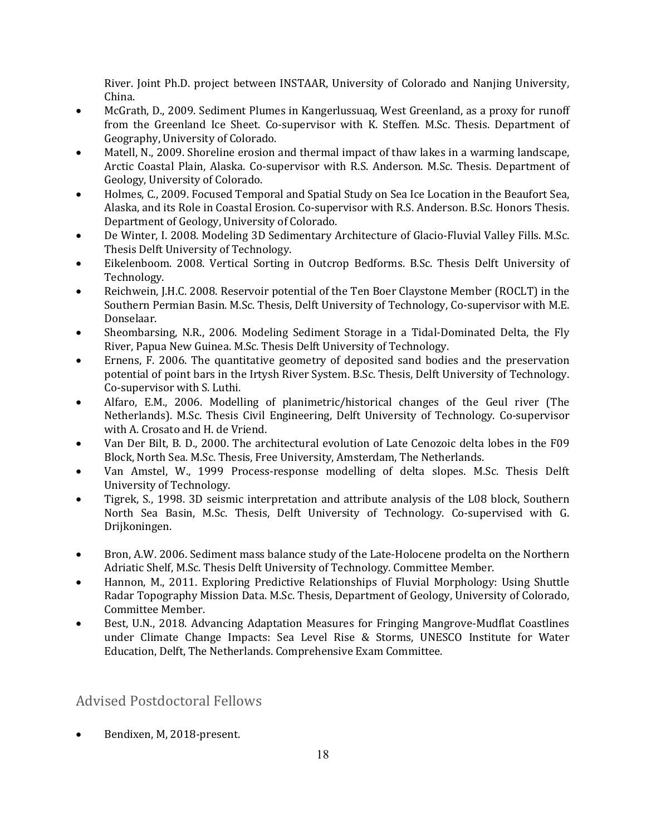River. Joint Ph.D. project between INSTAAR, University of Colorado and Nanjing University, China. 

- McGrath, D., 2009. Sediment Plumes in Kangerlussuaq, West Greenland, as a proxy for runoff from the Greenland Ice Sheet. Co-supervisor with K. Steffen. M.Sc. Thesis. Department of Geography, University of Colorado.
- Matell, N., 2009. Shoreline erosion and thermal impact of thaw lakes in a warming landscape, Arctic Coastal Plain, Alaska. Co-supervisor with R.S. Anderson. M.Sc. Thesis. Department of Geology, University of Colorado.
- Holmes, C., 2009. Focused Temporal and Spatial Study on Sea Ice Location in the Beaufort Sea, Alaska, and its Role in Coastal Erosion. Co-supervisor with R.S. Anderson. B.Sc. Honors Thesis. Department of Geology, University of Colorado.
- De Winter, I. 2008. Modeling 3D Sedimentary Architecture of Glacio-Fluvial Valley Fills. M.Sc. Thesis Delft University of Technology.
- Eikelenboom. 2008. Vertical Sorting in Outcrop Bedforms. B.Sc. Thesis Delft University of Technology.
- Reichwein, J.H.C. 2008. Reservoir potential of the Ten Boer Claystone Member (ROCLT) in the Southern Permian Basin. M.Sc. Thesis, Delft University of Technology, Co-supervisor with M.E. Donselaar.
- Sheombarsing, N.R., 2006. Modeling Sediment Storage in a Tidal-Dominated Delta, the Fly River, Papua New Guinea. M.Sc. Thesis Delft University of Technology.
- Ernens, F. 2006. The quantitative geometry of deposited sand bodies and the preservation potential of point bars in the Irtysh River System. B.Sc. Thesis, Delft University of Technology. Co-supervisor with S. Luthi.
- Alfaro, E.M., 2006. Modelling of planimetric/historical changes of the Geul river (The Netherlands). M.Sc. Thesis Civil Engineering, Delft University of Technology. Co-supervisor with A. Crosato and H. de Vriend.
- Van Der Bilt, B. D., 2000. The architectural evolution of Late Cenozoic delta lobes in the F09 Block, North Sea. M.Sc. Thesis, Free University, Amsterdam, The Netherlands.
- Van Amstel, W., 1999 Process-response modelling of delta slopes. M.Sc. Thesis Delft University of Technology.
- Tigrek, S., 1998. 3D seismic interpretation and attribute analysis of the L08 block, Southern North Sea Basin, M.Sc. Thesis, Delft University of Technology. Co-supervised with G. Drijkoningen.
- Bron, A.W. 2006. Sediment mass balance study of the Late-Holocene prodelta on the Northern Adriatic Shelf, M.Sc. Thesis Delft University of Technology. Committee Member.
- Hannon, M., 2011. Exploring Predictive Relationships of Fluvial Morphology: Using Shuttle Radar Topography Mission Data. M.Sc. Thesis, Department of Geology, University of Colorado, Committee Member.
- Best, U.N., 2018. Advancing Adaptation Measures for Fringing Mangrove-Mudflat Coastlines under Climate Change Impacts: Sea Level Rise & Storms, UNESCO Institute for Water Education, Delft, The Netherlands. Comprehensive Exam Committee.

#### **Advised Postdoctoral Fellows**

Bendixen, M. 2018-present.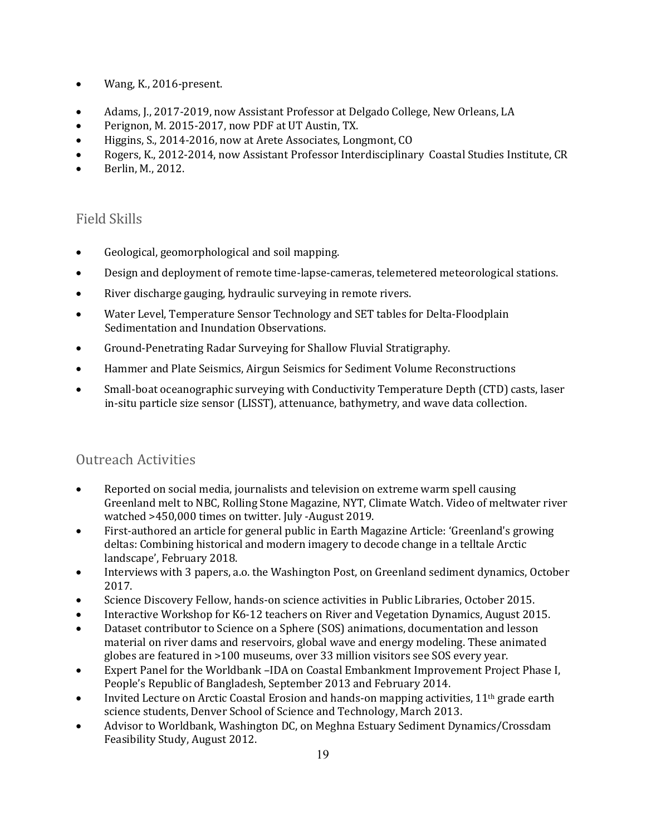- Wang, K., 2016-present.
- Adams, J., 2017-2019, now Assistant Professor at Delgado College, New Orleans, LA
- Perignon, M. 2015-2017, now PDF at UT Austin, TX.
- Higgins, S., 2014-2016, now at Arete Associates, Longmont, CO
- Rogers, K., 2012-2014, now Assistant Professor Interdisciplinary Coastal Studies Institute, CR
- Berlin, M., 2012.

#### Field Skills

- Geological, geomorphological and soil mapping.
- Design and deployment of remote time-lapse-cameras, telemetered meteorological stations.
- River discharge gauging, hydraulic surveying in remote rivers.
- Water Level, Temperature Sensor Technology and SET tables for Delta-Floodplain Sedimentation and Inundation Observations.
- Ground-Penetrating Radar Surveying for Shallow Fluvial Stratigraphy.
- Hammer and Plate Seismics, Airgun Seismics for Sediment Volume Reconstructions
- Small-boat oceanographic surveying with Conductivity Temperature Depth (CTD) casts, laser in-situ particle size sensor (LISST), attenuance, bathymetry, and wave data collection.

#### Outreach Activities

- Reported on social media, journalists and television on extreme warm spell causing Greenland melt to NBC, Rolling Stone Magazine, NYT, Climate Watch. Video of meltwater river watched >450,000 times on twitter. July -August 2019.
- First-authored an article for general public in Earth Magazine Article: 'Greenland's growing deltas: Combining historical and modern imagery to decode change in a telltale Arctic landscape', February 2018.
- Interviews with 3 papers, a.o. the Washington Post, on Greenland sediment dynamics, October 2017.
- Science Discovery Fellow, hands-on science activities in Public Libraries, October 2015.
- Interactive Workshop for K6-12 teachers on River and Vegetation Dynamics, August 2015.
- Dataset contributor to Science on a Sphere (SOS) animations, documentation and lesson material on river dams and reservoirs, global wave and energy modeling. These animated globes are featured in >100 museums, over 33 million visitors see SOS every year.
- Expert Panel for the Worldbank –IDA on Coastal Embankment Improvement Project Phase I, People's Republic of Bangladesh, September 2013 and February 2014.
- Invited Lecture on Arctic Coastal Erosion and hands-on mapping activities,  $11<sup>th</sup>$  grade earth science students, Denver School of Science and Technology, March 2013.
- Advisor to Worldbank, Washington DC, on Meghna Estuary Sediment Dynamics/Crossdam Feasibility Study, August 2012.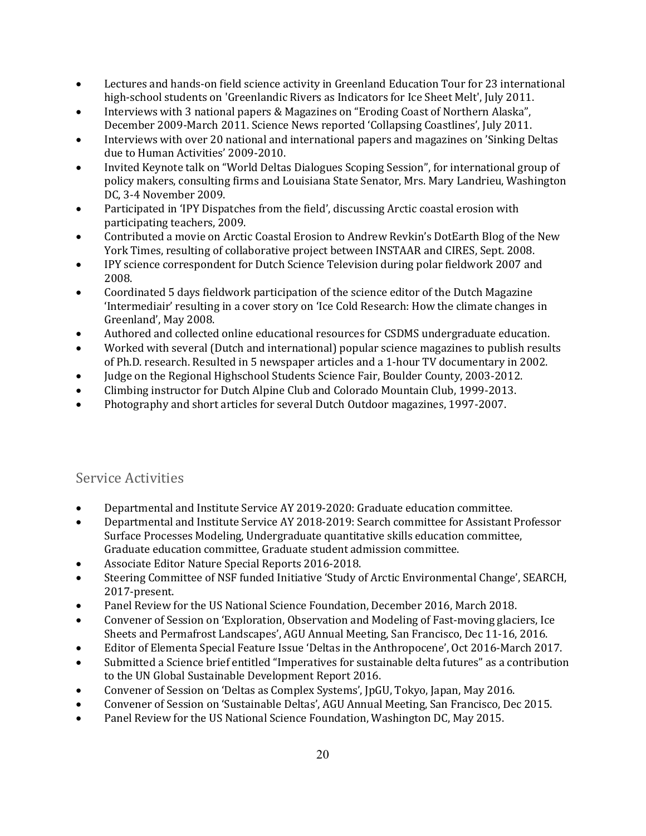- Lectures and hands-on field science activity in Greenland Education Tour for 23 international high-school students on 'Greenlandic Rivers as Indicators for Ice Sheet Melt', July 2011.
- Interviews with 3 national papers & Magazines on "Eroding Coast of Northern Alaska", December 2009-March 2011. Science News reported 'Collapsing Coastlines', July 2011.
- Interviews with over 20 national and international papers and magazines on 'Sinking Deltas due to Human Activities' 2009-2010.
- Invited Keynote talk on "World Deltas Dialogues Scoping Session", for international group of policy makers, consulting firms and Louisiana State Senator, Mrs. Mary Landrieu, Washington DC, 3-4 November 2009.
- Participated in 'IPY Dispatches from the field', discussing Arctic coastal erosion with participating teachers, 2009.
- Contributed a movie on Arctic Coastal Erosion to Andrew Revkin's DotEarth Blog of the New York Times, resulting of collaborative project between INSTAAR and CIRES, Sept. 2008.
- IPY science correspondent for Dutch Science Television during polar fieldwork 2007 and 2008.
- Coordinated 5 days fieldwork participation of the science editor of the Dutch Magazine 'Intermediair' resulting in a cover story on 'Ice Cold Research: How the climate changes in Greenland', May 2008.
- Authored and collected online educational resources for CSDMS undergraduate education.
- Worked with several (Dutch and international) popular science magazines to publish results of Ph.D. research. Resulted in 5 newspaper articles and a 1-hour TV documentary in 2002.
- Judge on the Regional Highschool Students Science Fair, Boulder County, 2003-2012.
- Climbing instructor for Dutch Alpine Club and Colorado Mountain Club, 1999-2013.
- Photography and short articles for several Dutch Outdoor magazines, 1997-2007.

#### Service Activities

- Departmental and Institute Service AY 2019-2020: Graduate education committee.
- Departmental and Institute Service AY 2018-2019: Search committee for Assistant Professor Surface Processes Modeling, Undergraduate quantitative skills education committee, Graduate education committee, Graduate student admission committee.
- Associate Editor Nature Special Reports 2016-2018.
- Steering Committee of NSF funded Initiative 'Study of Arctic Environmental Change', SEARCH, 2017-present.
- Panel Review for the US National Science Foundation, December 2016, March 2018.
- Convener of Session on 'Exploration, Observation and Modeling of Fast-moving glaciers, Ice Sheets and Permafrost Landscapes', AGU Annual Meeting, San Francisco, Dec 11-16, 2016.
- Editor of Elementa Special Feature Issue 'Deltas in the Anthropocene', Oct 2016-March 2017.
- Submitted a Science brief entitled "Imperatives for sustainable delta futures" as a contribution to the UN Global Sustainable Development Report 2016.
- Convener of Session on 'Deltas as Complex Systems', JpGU, Tokyo, Japan, May 2016.
- Convener of Session on 'Sustainable Deltas', AGU Annual Meeting, San Francisco, Dec 2015.
- Panel Review for the US National Science Foundation, Washington DC, May 2015.